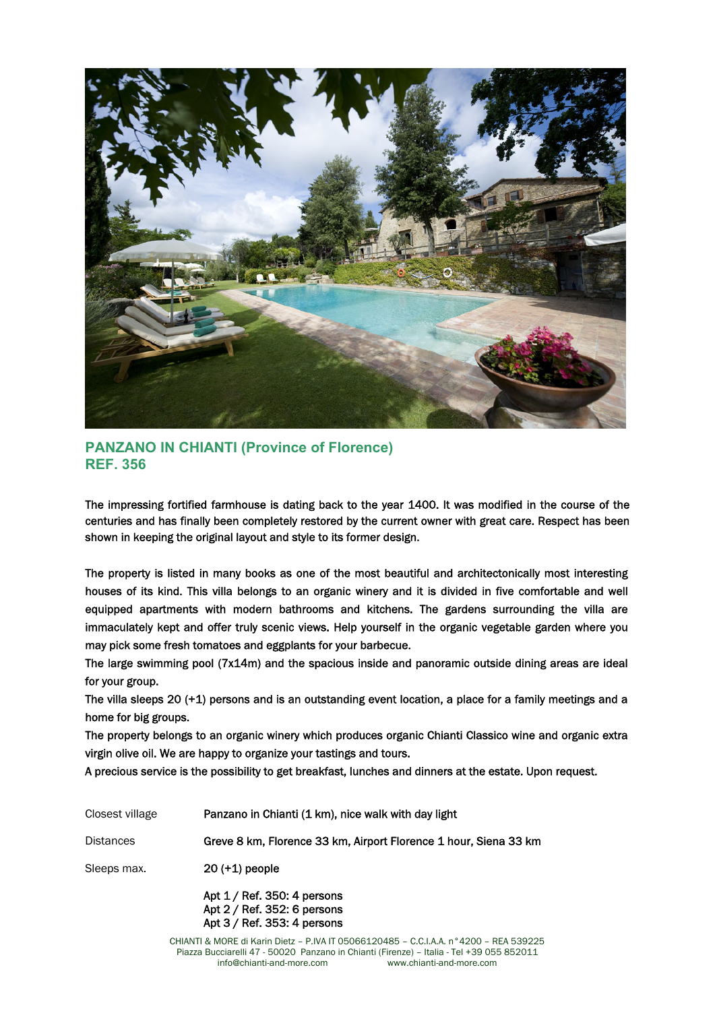

**PANZANO IN CHIANTI (Province of Florence) REF. 356** 

The impressing fortified farmhouse is dating back to the year 1400. It was modified in the course of the centuries and has finally been completely restored by the current owner with great care. Respect has been shown in keeping the original layout and style to its former design.

The property is listed in many books as one of the most beautiful and architectonically most interesting houses of its kind. This villa belongs to an organic winery and it is divided in five comfortable and well equipped apartments with modern bathrooms and kitchens. The gardens surrounding the villa are immaculately kept and offer truly scenic views. Help yourself in the organic vegetable garden where you may pick some fresh tomatoes and eggplants for your barbecue.

The large swimming pool (7x14m) and the spacious inside and panoramic outside dining areas are ideal for your group.

The villa sleeps 20 (+1) persons and is an outstanding event location, a place for a family meetings and a home for big groups.

The property belongs to an organic winery which produces organic Chianti Classico wine and organic extra virgin olive oil. We are happy to organize your tastings and tours.

A precious service is the possibility to get breakfast, lunches and dinners at the estate. Upon request.

| Closest village  | Panzano in Chianti (1 km), nice walk with day light                                        |
|------------------|--------------------------------------------------------------------------------------------|
| <b>Distances</b> | Greve 8 km, Florence 33 km, Airport Florence 1 hour, Siena 33 km                           |
| Sleeps max.      | $20 (+1)$ people                                                                           |
|                  | Apt $1/$ Ref. 350: 4 persons<br>Apt 2 / Ref. 352: 6 persons<br>Apt 3 / Ref. 353: 4 persons |

CHIANTI & MORE di Karin Dietz – P.IVA IT 05066120485 – C.C.I.A.A. n°4200 – REA 539225 Piazza Bucciarelli 47 - 50020 Panzano in Chianti (Firenze) – Italia - Tel +39 055 852011 info@chianti-and-more.com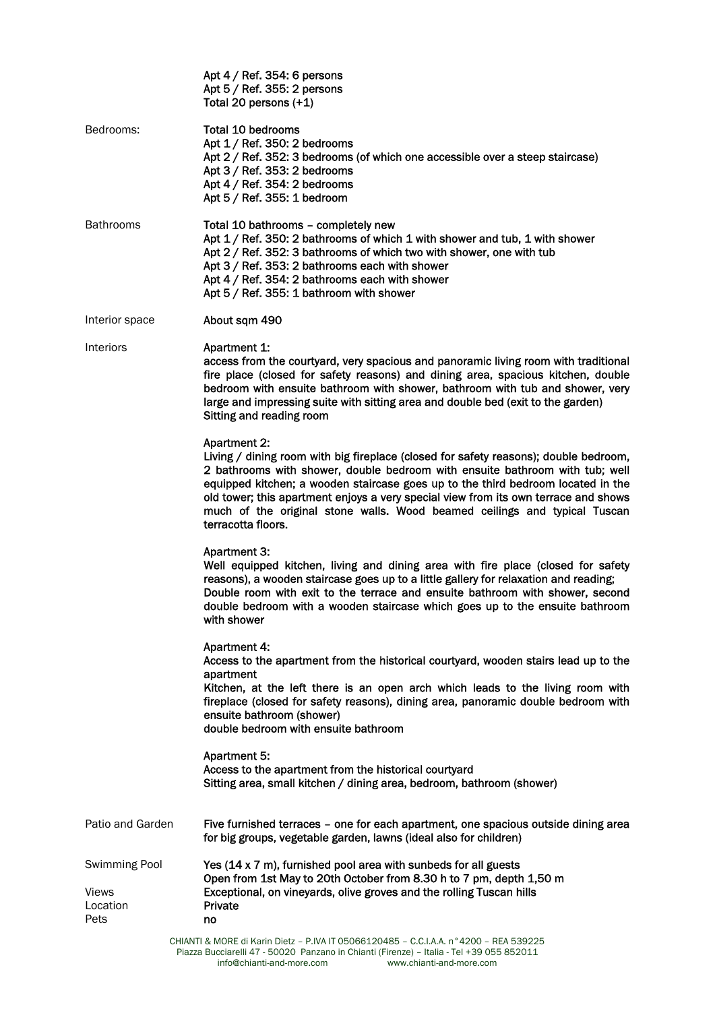|                                                   | Apt $4/$ Ref. 354: 6 persons<br>Apt 5 / Ref. 355: 2 persons<br>Total 20 persons (+1)                                                                                                                                                                                                                                                                                                                                                                                      |
|---------------------------------------------------|---------------------------------------------------------------------------------------------------------------------------------------------------------------------------------------------------------------------------------------------------------------------------------------------------------------------------------------------------------------------------------------------------------------------------------------------------------------------------|
| Bedrooms:                                         | Total 10 bedrooms<br>Apt 1 / Ref. 350: 2 bedrooms<br>Apt 2 / Ref. 352: 3 bedrooms (of which one accessible over a steep staircase)<br>Apt 3 / Ref. 353: 2 bedrooms<br>Apt $4/$ Ref. 354: 2 bedrooms<br>Apt 5 / Ref. 355: 1 bedroom                                                                                                                                                                                                                                        |
| <b>Bathrooms</b>                                  | Total 10 bathrooms - completely new<br>Apt 1 / Ref. 350: 2 bathrooms of which 1 with shower and tub, 1 with shower<br>Apt 2 / Ref. 352: 3 bathrooms of which two with shower, one with tub<br>Apt 3 / Ref. 353: 2 bathrooms each with shower<br>Apt 4 / Ref. 354: 2 bathrooms each with shower<br>Apt 5 / Ref. 355: 1 bathroom with shower                                                                                                                                |
| Interior space                                    | About sqm 490                                                                                                                                                                                                                                                                                                                                                                                                                                                             |
| Interiors                                         | Apartment 1:<br>access from the courtyard, very spacious and panoramic living room with traditional<br>fire place (closed for safety reasons) and dining area, spacious kitchen, double<br>bedroom with ensuite bathroom with shower, bathroom with tub and shower, very<br>large and impressing suite with sitting area and double bed (exit to the garden)<br>Sitting and reading room                                                                                  |
|                                                   | <b>Apartment 2:</b><br>Living / dining room with big fireplace (closed for safety reasons); double bedroom,<br>2 bathrooms with shower, double bedroom with ensuite bathroom with tub; well<br>equipped kitchen; a wooden staircase goes up to the third bedroom located in the<br>old tower; this apartment enjoys a very special view from its own terrace and shows<br>much of the original stone walls. Wood beamed ceilings and typical Tuscan<br>terracotta floors. |
|                                                   | <b>Apartment 3:</b><br>Well equipped kitchen, living and dining area with fire place (closed for safety<br>reasons), a wooden staircase goes up to a little gallery for relaxation and reading;<br>Double room with exit to the terrace and ensuite bathroom with shower, second<br>double bedroom with a wooden staircase which goes up to the ensuite bathroom<br>with shower                                                                                           |
|                                                   | <b>Apartment 4:</b><br>Access to the apartment from the historical courtyard, wooden stairs lead up to the<br>apartment<br>Kitchen, at the left there is an open arch which leads to the living room with<br>fireplace (closed for safety reasons), dining area, panoramic double bedroom with<br>ensuite bathroom (shower)<br>double bedroom with ensuite bathroom                                                                                                       |
|                                                   | Apartment 5:<br>Access to the apartment from the historical courtyard<br>Sitting area, small kitchen / dining area, bedroom, bathroom (shower)                                                                                                                                                                                                                                                                                                                            |
| Patio and Garden                                  | Five furnished terraces - one for each apartment, one spacious outside dining area<br>for big groups, vegetable garden, lawns (ideal also for children)                                                                                                                                                                                                                                                                                                                   |
| Swimming Pool<br><b>Views</b><br>Location<br>Pets | Yes (14 x 7 m), furnished pool area with sunbeds for all guests<br>Open from 1st May to 20th October from 8.30 h to 7 pm, depth 1,50 m<br>Exceptional, on vineyards, olive groves and the rolling Tuscan hills<br>Private<br>no                                                                                                                                                                                                                                           |
|                                                   | D IVA IT OF OCCA OO A OF<br>$0.0111 \times 0.0000$<br>DEA EQOOOE                                                                                                                                                                                                                                                                                                                                                                                                          |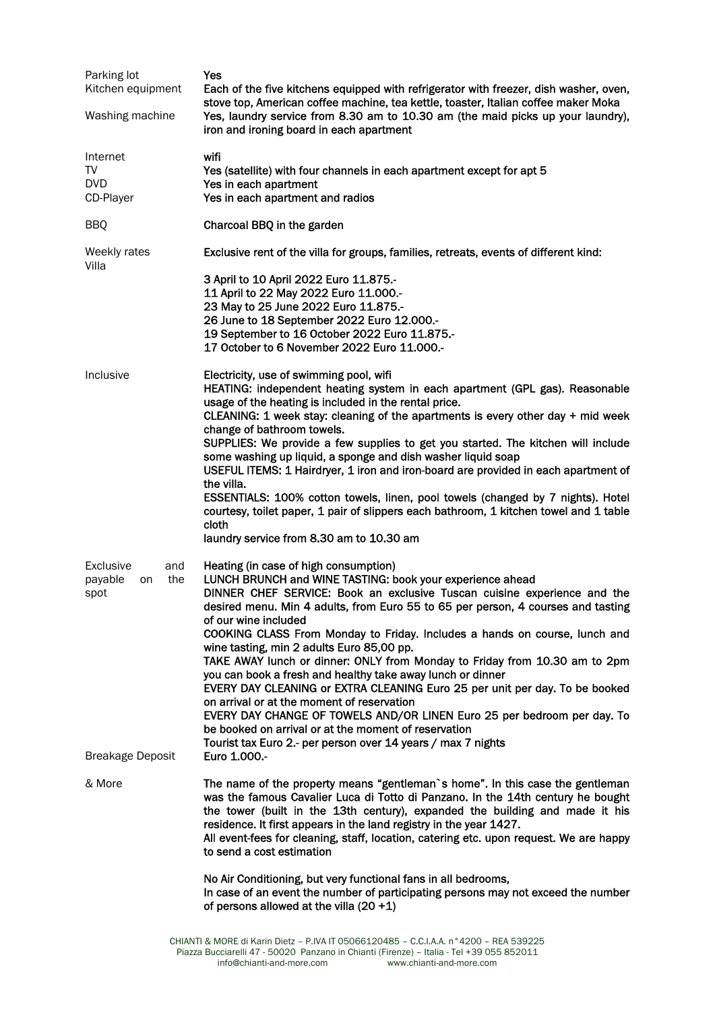| Parking lot<br>Kitchen equipment | Yes<br>Each of the five kitchens equipped with refrigerator with freezer, dish washer, oven,<br>stove top, American coffee machine, tea kettle, toaster, Italian coffee maker Moka                                                                                                                                                                                                                                                            |
|----------------------------------|-----------------------------------------------------------------------------------------------------------------------------------------------------------------------------------------------------------------------------------------------------------------------------------------------------------------------------------------------------------------------------------------------------------------------------------------------|
| Washing machine                  | Yes, laundry service from 8.30 am to 10.30 am (the maid picks up your laundry),<br>iron and ironing board in each apartment                                                                                                                                                                                                                                                                                                                   |
| Internet                         | wifi                                                                                                                                                                                                                                                                                                                                                                                                                                          |
| TV<br><b>DVD</b>                 | Yes (satellite) with four channels in each apartment except for apt 5<br>Yes in each apartment                                                                                                                                                                                                                                                                                                                                                |
| CD-Player                        | Yes in each apartment and radios                                                                                                                                                                                                                                                                                                                                                                                                              |
| <b>BBQ</b>                       | Charcoal BBQ in the garden                                                                                                                                                                                                                                                                                                                                                                                                                    |
| Weekly rates<br>Villa            | Exclusive rent of the villa for groups, families, retreats, events of different kind:                                                                                                                                                                                                                                                                                                                                                         |
|                                  | 3 April to 10 April 2022 Euro 11.875.-<br>11 April to 22 May 2022 Euro 11.000 .-                                                                                                                                                                                                                                                                                                                                                              |
|                                  | 23 May to 25 June 2022 Euro 11.875.-                                                                                                                                                                                                                                                                                                                                                                                                          |
|                                  | 26 June to 18 September 2022 Euro 12.000 .-<br>19 September to 16 October 2022 Euro 11.875.-                                                                                                                                                                                                                                                                                                                                                  |
|                                  | 17 October to 6 November 2022 Euro 11.000 .-                                                                                                                                                                                                                                                                                                                                                                                                  |
| Inclusive                        | Electricity, use of swimming pool, wifi<br>HEATING: independent heating system in each apartment (GPL gas). Reasonable                                                                                                                                                                                                                                                                                                                        |
|                                  | usage of the heating is included in the rental price.<br>CLEANING: 1 week stay: cleaning of the apartments is every other day $+$ mid week                                                                                                                                                                                                                                                                                                    |
|                                  | change of bathroom towels.<br>SUPPLIES: We provide a few supplies to get you started. The kitchen will include                                                                                                                                                                                                                                                                                                                                |
|                                  | some washing up liquid, a sponge and dish washer liquid soap<br>USEFUL ITEMS: 1 Hairdryer, 1 iron and iron-board are provided in each apartment of                                                                                                                                                                                                                                                                                            |
|                                  | the villa.                                                                                                                                                                                                                                                                                                                                                                                                                                    |
|                                  | ESSENTIALS: 100% cotton towels, linen, pool towels (changed by 7 nights). Hotel<br>courtesy, toilet paper, 1 pair of slippers each bathroom, 1 kitchen towel and 1 table<br>cloth                                                                                                                                                                                                                                                             |
|                                  | laundry service from 8.30 am to 10.30 am                                                                                                                                                                                                                                                                                                                                                                                                      |
| <b>Exclusive</b><br>and          | Heating (in case of high consumption)<br>LUNCH BRUNCH and WINE TASTING: book your experience ahead                                                                                                                                                                                                                                                                                                                                            |
| the<br>payable<br>on<br>spot     | DINNER CHEF SERVICE: Book an exclusive Tuscan cuisine experience and the<br>desired menu. Min 4 adults, from Euro 55 to 65 per person, 4 courses and tasting                                                                                                                                                                                                                                                                                  |
|                                  | of our wine included<br>COOKING CLASS From Monday to Friday. Includes a hands on course, lunch and<br>wine tasting, min 2 adults Euro 85,00 pp.                                                                                                                                                                                                                                                                                               |
|                                  | TAKE AWAY lunch or dinner: ONLY from Monday to Friday from 10.30 am to 2pm<br>you can book a fresh and healthy take away lunch or dinner                                                                                                                                                                                                                                                                                                      |
|                                  | EVERY DAY CLEANING or EXTRA CLEANING Euro 25 per unit per day. To be booked<br>on arrival or at the moment of reservation                                                                                                                                                                                                                                                                                                                     |
|                                  | EVERY DAY CHANGE OF TOWELS AND/OR LINEN Euro 25 per bedroom per day. To<br>be booked on arrival or at the moment of reservation                                                                                                                                                                                                                                                                                                               |
| <b>Breakage Deposit</b>          | Tourist tax Euro 2.- per person over 14 years / max 7 nights<br>Euro 1.000 .-                                                                                                                                                                                                                                                                                                                                                                 |
| & More                           | The name of the property means "gentleman's home". In this case the gentleman<br>was the famous Cavalier Luca di Totto di Panzano. In the 14th century he bought<br>the tower (built in the 13th century), expanded the building and made it his<br>residence. It first appears in the land registry in the year 1427.<br>All event-fees for cleaning, staff, location, catering etc. upon request. We are happy<br>to send a cost estimation |
|                                  | No Air Conditioning, but very functional fans in all bedrooms,<br>In case of an event the number of participating persons may not exceed the number<br>of persons allowed at the villa $(20 + 1)$                                                                                                                                                                                                                                             |